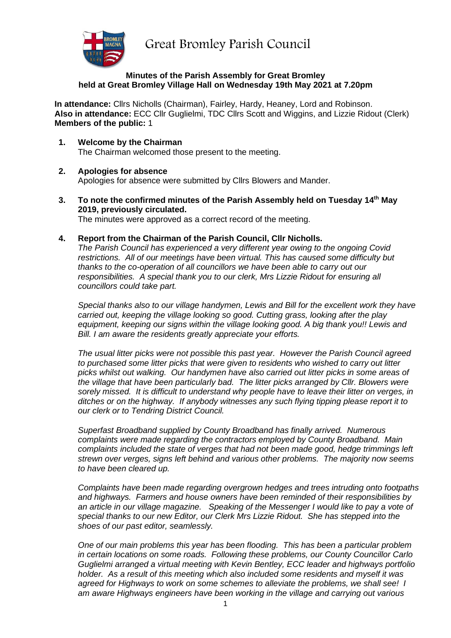Great Bromley Parish Council



#### **Minutes of the Parish Assembly for Great Bromley held at Great Bromley Village Hall on Wednesday 19th May 2021 at 7.20pm**

**In attendance:** Cllrs Nicholls (Chairman), Fairley, Hardy, Heaney, Lord and Robinson. **Also in attendance:** ECC Cllr Guglielmi, TDC Cllrs Scott and Wiggins, and Lizzie Ridout (Clerk) **Members of the public:** 1

**1. Welcome by the Chairman** The Chairman welcomed those present to the meeting.

# **2. Apologies for absence**

Apologies for absence were submitted by Cllrs Blowers and Mander.

- **3. To note the confirmed minutes of the Parish Assembly held on Tuesday 14th May 2019, previously circulated.** The minutes were approved as a correct record of the meeting.
- **4. Report from the Chairman of the Parish Council, Cllr Nicholls.**

*The Parish Council has experienced a very different year owing to the ongoing Covid restrictions. All of our meetings have been virtual. This has caused some difficulty but thanks to the co-operation of all councillors we have been able to carry out our responsibilities. A special thank you to our clerk, Mrs Lizzie Ridout for ensuring all councillors could take part.*

*Special thanks also to our village handymen, Lewis and Bill for the excellent work they have carried out, keeping the village looking so good. Cutting grass, looking after the play equipment, keeping our signs within the village looking good. A big thank you!! Lewis and Bill. I am aware the residents greatly appreciate your efforts.* 

*The usual litter picks were not possible this past year. However the Parish Council agreed to purchased some litter picks that were given to residents who wished to carry out litter picks whilst out walking. Our handymen have also carried out litter picks in some areas of the village that have been particularly bad. The litter picks arranged by Cllr. Blowers were sorely missed. It is difficult to understand why people have to leave their litter on verges, in ditches or on the highway. If anybody witnesses any such flying tipping please report it to our clerk or to Tendring District Council.*

*Superfast Broadband supplied by County Broadband has finally arrived. Numerous complaints were made regarding the contractors employed by County Broadband. Main complaints included the state of verges that had not been made good, hedge trimmings left strewn over verges, signs left behind and various other problems. The majority now seems to have been cleared up.*

*Complaints have been made regarding overgrown hedges and trees intruding onto footpaths and highways. Farmers and house owners have been reminded of their responsibilities by an article in our village magazine. Speaking of the Messenger I would like to pay a vote of special thanks to our new Editor, our Clerk Mrs Lizzie Ridout. She has stepped into the shoes of our past editor, seamlessly.*

*One of our main problems this year has been flooding. This has been a particular problem in certain locations on some roads. Following these problems, our County Councillor Carlo Guglielmi arranged a virtual meeting with Kevin Bentley, ECC leader and highways portfolio holder. As a result of this meeting which also included some residents and myself it was agreed for Highways to work on some schemes to alleviate the problems, we shall see! I am aware Highways engineers have been working in the village and carrying out various*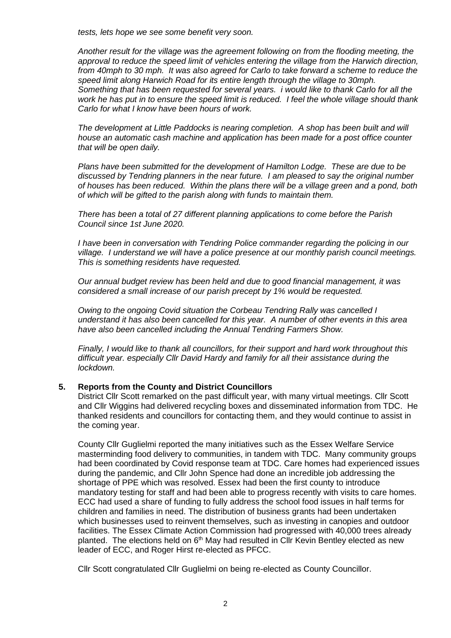*tests, lets hope we see some benefit very soon.*

*Another result for the village was the agreement following on from the flooding meeting, the approval to reduce the speed limit of vehicles entering the village from the Harwich direction, from 40mph to 30 mph. It was also agreed for Carlo to take forward a scheme to reduce the speed limit along Harwich Road for its entire length through the village to 30mph. Something that has been requested for several years. i would like to thank Carlo for all the work he has put in to ensure the speed limit is reduced. I feel the whole village should thank Carlo for what I know have been hours of work.*

*The development at Little Paddocks is nearing completion. A shop has been built and will house an automatic cash machine and application has been made for a post office counter that will be open daily.*

*Plans have been submitted for the development of Hamilton Lodge. These are due to be discussed by Tendring planners in the near future. I am pleased to say the original number of houses has been reduced. Within the plans there will be a village green and a pond, both of which will be gifted to the parish along with funds to maintain them.* 

*There has been a total of 27 different planning applications to come before the Parish Council since 1st June 2020.*

*I have been in conversation with Tendring Police commander regarding the policing in our village. I understand we will have a police presence at our monthly parish council meetings. This is something residents have requested.*

*Our annual budget review has been held and due to good financial management, it was considered a small increase of our parish precept by 1% would be requested.*

*Owing to the ongoing Covid situation the Corbeau Tendring Rally was cancelled I understand it has also been cancelled for this year. A number of other events in this area have also been cancelled including the Annual Tendring Farmers Show.*

*Finally, I would like to thank all councillors, for their support and hard work throughout this difficult year. especially Cllr David Hardy and family for all their assistance during the lockdown.* 

## **5. Reports from the County and District Councillors**

District Cllr Scott remarked on the past difficult year, with many virtual meetings. Cllr Scott and Cllr Wiggins had delivered recycling boxes and disseminated information from TDC. He thanked residents and councillors for contacting them, and they would continue to assist in the coming year.

County Cllr Guglielmi reported the many initiatives such as the Essex Welfare Service masterminding food delivery to communities, in tandem with TDC. Many community groups had been coordinated by Covid response team at TDC. Care homes had experienced issues during the pandemic, and Cllr John Spence had done an incredible job addressing the shortage of PPE which was resolved. Essex had been the first county to introduce mandatory testing for staff and had been able to progress recently with visits to care homes. ECC had used a share of funding to fully address the school food issues in half terms for children and families in need. The distribution of business grants had been undertaken which businesses used to reinvent themselves, such as investing in canopies and outdoor facilities. The Essex Climate Action Commission had progressed with 40,000 trees already planted. The elections held on  $6<sup>th</sup>$  May had resulted in Cllr Kevin Bentley elected as new leader of ECC, and Roger Hirst re-elected as PFCC.

Cllr Scott congratulated Cllr Guglielmi on being re-elected as County Councillor.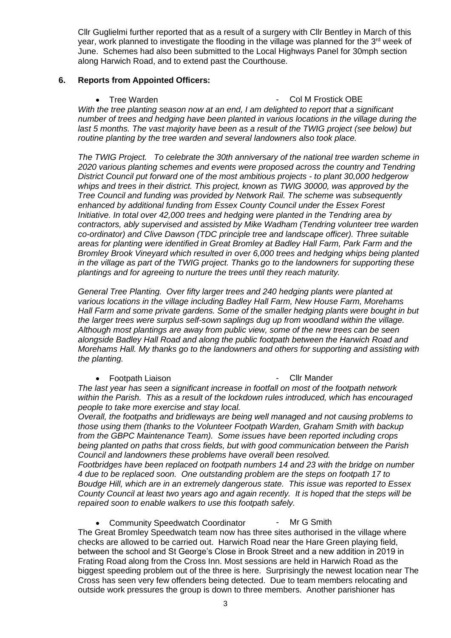Cllr Guglielmi further reported that as a result of a surgery with Cllr Bentley in March of this year, work planned to investigate the flooding in the village was planned for the 3<sup>rd</sup> week of June. Schemes had also been submitted to the Local Highways Panel for 30mph section along Harwich Road, and to extend past the Courthouse.

## **6. Reports from Appointed Officers:**

• Tree Warden **- Col M Frostick OBE** 

*With the tree planting season now at an end, I am delighted to report that a significant number of trees and hedging have been planted in various locations in the village during the last 5 months. The vast majority have been as a result of the TWIG project (see below) but routine planting by the tree warden and several landowners also took place.*

*The TWIG Project. To celebrate the 30th anniversary of the national tree warden scheme in 2020 various planting schemes and events were proposed across the country and Tendring District Council put forward one of the most ambitious projects - to plant 30,000 hedgerow whips and trees in their district. This project, known as TWIG 30000, was approved by the Tree Council and funding was provided by Network Rail. The scheme was subsequently enhanced by additional funding from Essex County Council under the Essex Forest Initiative. In total over 42,000 trees and hedging were planted in the Tendring area by contractors, ably supervised and assisted by Mike Wadham (Tendring volunteer tree warden co-ordinator) and Clive Dawson (TDC principle tree and landscape officer). Three suitable areas for planting were identified in Great Bromley at Badley Hall Farm, Park Farm and the Bromley Brook Vineyard which resulted in over 6,000 trees and hedging whips being planted in the village as part of the TWIG project. Thanks go to the landowners for supporting these plantings and for agreeing to nurture the trees until they reach maturity.*

*General Tree Planting. Over fifty larger trees and 240 hedging plants were planted at various locations in the village including Badley Hall Farm, New House Farm, Morehams Hall Farm and some private gardens. Some of the smaller hedging plants were bought in but the larger trees were surplus self-sown saplings dug up from woodland within the village. Although most plantings are away from public view, some of the new trees can be seen alongside Badley Hall Road and along the public footpath between the Harwich Road and Morehams Hall. My thanks go to the landowners and others for supporting and assisting with the planting.*

## • Footpath Liaison **- Climander** - Climander

*The last year has seen a significant increase in footfall on most of the footpath network within the Parish. This as a result of the lockdown rules introduced, which has encouraged people to take more exercise and stay local.* 

*Overall, the footpaths and bridleways are being well managed and not causing problems to those using them (thanks to the Volunteer Footpath Warden, Graham Smith with backup from the GBPC Maintenance Team). Some issues have been reported including crops being planted on paths that cross fields, but with good communication between the Parish Council and landowners these problems have overall been resolved.*

*Footbridges have been replaced on footpath numbers 14 and 23 with the bridge on number 4 due to be replaced soon. One outstanding problem are the steps on footpath 17 to Boudge Hill, which are in an extremely dangerous state. This issue was reported to Essex County Council at least two years ago and again recently. It is hoped that the steps will be repaired soon to enable walkers to use this footpath safely.*

• Community Speedwatch Coordinator - Mr G Smith

The Great Bromley Speedwatch team now has three sites authorised in the village where checks are allowed to be carried out. Harwich Road near the Hare Green playing field, between the school and St George's Close in Brook Street and a new addition in 2019 in Frating Road along from the Cross Inn. Most sessions are held in Harwich Road as the biggest speeding problem out of the three is here. Surprisingly the newest location near The Cross has seen very few offenders being detected. Due to team members relocating and outside work pressures the group is down to three members. Another parishioner has